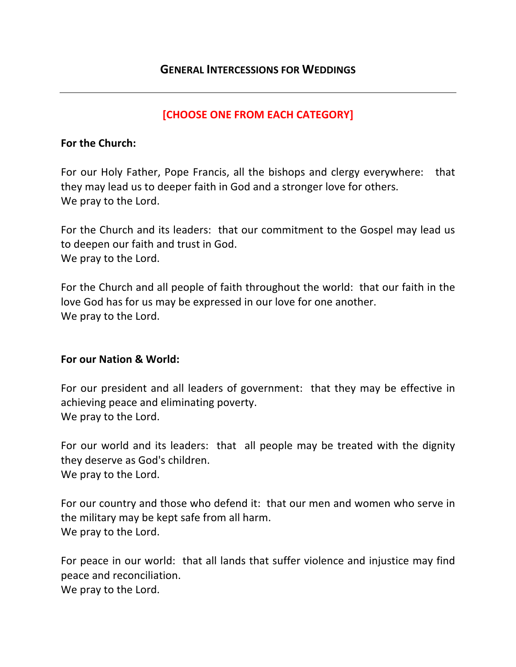# **[CHOOSE ONE FROM EACH CATEGORY]**

### **For the Church:**

For our Holy Father, Pope Francis, all the bishops and clergy everywhere: that they may lead us to deeper faith in God and a stronger love for others. We pray to the Lord.

For the Church and its leaders: that our commitment to the Gospel may lead us to deepen our faith and trust in God. We pray to the Lord.

For the Church and all people of faith throughout the world: that our faith in the love God has for us may be expressed in our love for one another. We pray to the Lord.

#### **For our Nation & World:**

For our president and all leaders of government: that they may be effective in achieving peace and eliminating poverty. We pray to the Lord.

For our world and its leaders: that all people may be treated with the dignity they deserve as God's children. We pray to the Lord.

For our country and those who defend it: that our men and women who serve in the military may be kept safe from all harm. We pray to the Lord.

For peace in our world: that all lands that suffer violence and injustice may find peace and reconciliation.

We pray to the Lord.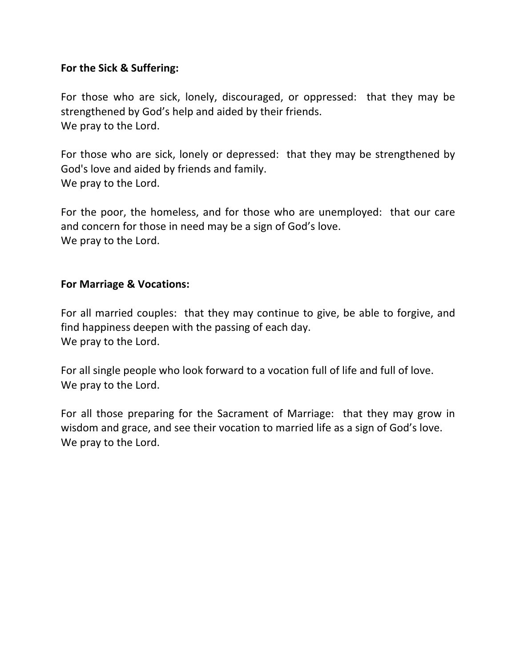# **For the Sick & Suffering:**

For those who are sick, lonely, discouraged, or oppressed: that they may be strengthened by God's help and aided by their friends. We pray to the Lord.

For those who are sick, lonely or depressed: that they may be strengthened by God's love and aided by friends and family. We pray to the Lord.

For the poor, the homeless, and for those who are unemployed: that our care and concern for those in need may be a sign of God's love. We pray to the Lord.

### **For Marriage & Vocations:**

For all married couples: that they may continue to give, be able to forgive, and find happiness deepen with the passing of each day. We pray to the Lord.

For all single people who look forward to a vocation full of life and full of love. We pray to the Lord.

For all those preparing for the Sacrament of Marriage: that they may grow in wisdom and grace, and see their vocation to married life as a sign of God's love. We pray to the Lord.